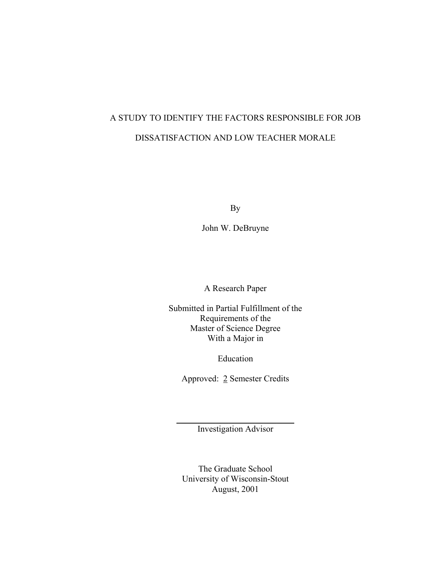# A STUDY TO IDENTIFY THE FACTORS RESPONSIBLE FOR JOB DISSATISFACTION AND LOW TEACHER MORALE

By

John W. DeBruyne

A Research Paper

Submitted in Partial Fulfillment of the Requirements of the Master of Science Degree With a Major in

Education

Approved: 2 Semester Credits

 $\overline{\phantom{a}}$  , where  $\overline{\phantom{a}}$  , where  $\overline{\phantom{a}}$  , where  $\overline{\phantom{a}}$  , where  $\overline{\phantom{a}}$ Investigation Advisor

The Graduate School University of Wisconsin-Stout August, 2001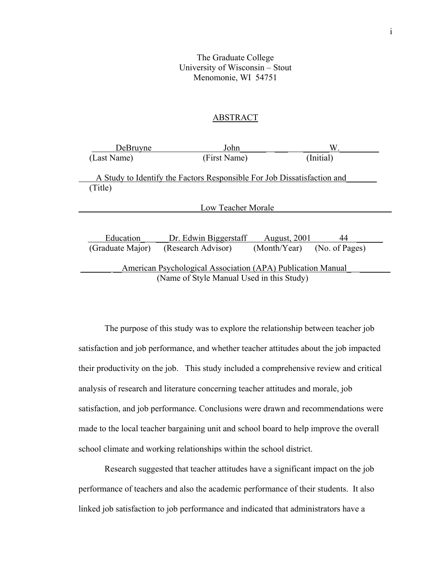# The Graduate College University of Wisconsin – Stout Menomonie, WI 54751

# ABSTRACT

| DeBruyne                                                                | John                  |                             | W.        |  |
|-------------------------------------------------------------------------|-----------------------|-----------------------------|-----------|--|
| (Last Name)                                                             | (First Name)          |                             | (Initial) |  |
|                                                                         |                       |                             |           |  |
| A Study to Identify the Factors Responsible For Job Dissatisfaction and |                       |                             |           |  |
| (Title)                                                                 |                       |                             |           |  |
|                                                                         |                       |                             |           |  |
| Low Teacher Morale                                                      |                       |                             |           |  |
|                                                                         |                       |                             |           |  |
|                                                                         |                       |                             |           |  |
| Education                                                               | Dr. Edwin Biggerstaff | <b>August</b> , 2001        | 44        |  |
| (Graduate Major)                                                        | (Research Advisor)    | (Month/Year) (No. of Pages) |           |  |
|                                                                         |                       |                             |           |  |
| American Psychological Association (APA) Publication Manual             |                       |                             |           |  |
| (Name of Style Manual Used in this Study)                               |                       |                             |           |  |

The purpose of this study was to explore the relationship between teacher job satisfaction and job performance, and whether teacher attitudes about the job impacted their productivity on the job. This study included a comprehensive review and critical analysis of research and literature concerning teacher attitudes and morale, job satisfaction, and job performance. Conclusions were drawn and recommendations were made to the local teacher bargaining unit and school board to help improve the overall school climate and working relationships within the school district.

Research suggested that teacher attitudes have a significant impact on the job performance of teachers and also the academic performance of their students. It also linked job satisfaction to job performance and indicated that administrators have a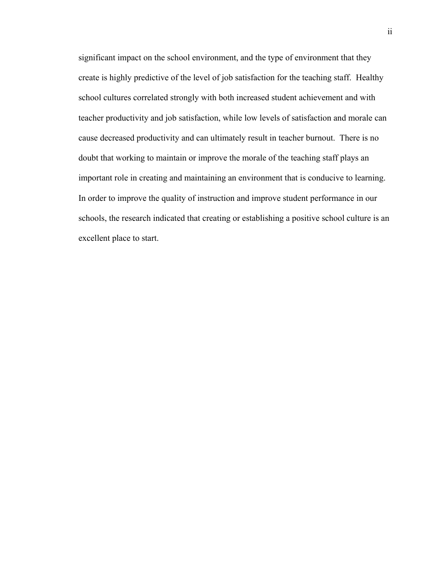significant impact on the school environment, and the type of environment that they create is highly predictive of the level of job satisfaction for the teaching staff. Healthy school cultures correlated strongly with both increased student achievement and with teacher productivity and job satisfaction, while low levels of satisfaction and morale can cause decreased productivity and can ultimately result in teacher burnout. There is no doubt that working to maintain or improve the morale of the teaching staff plays an important role in creating and maintaining an environment that is conducive to learning. In order to improve the quality of instruction and improve student performance in our schools, the research indicated that creating or establishing a positive school culture is an excellent place to start.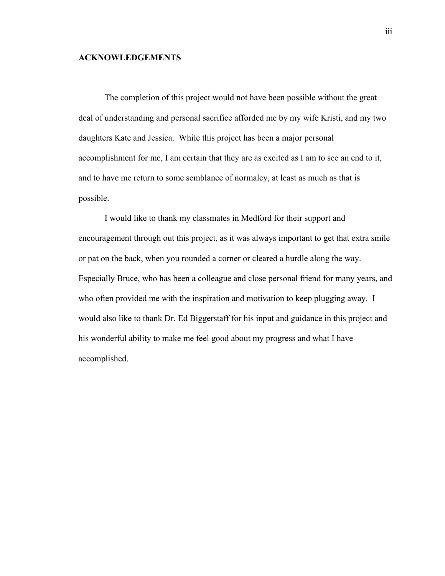# **ACKNOWLEDGEMENTS**

The completion of this project would not have been possible without the great deal of understanding and personal sacrifice afforded me by my wife Kristi, and my two daughters Kate and Jessica. While this project has been a major personal accomplishment for me, I am certain that they are as excited as I am to see an end to it, and to have me return to some semblance of normalcy, at least as much as that is possible.

I would like to thank my classmates in Medford for their support and encouragement through out this project, as it was always important to get that extra smile or pat on the back, when you rounded a corner or cleared a hurdle along the way. Especially Bruce, who has been a colleague and close personal friend for many years, and who often provided me with the inspiration and motivation to keep plugging away. I would also like to thank Dr. Ed Biggerstaff for his input and guidance in this project and his wonderful ability to make me feel good about my progress and what I have accomplished.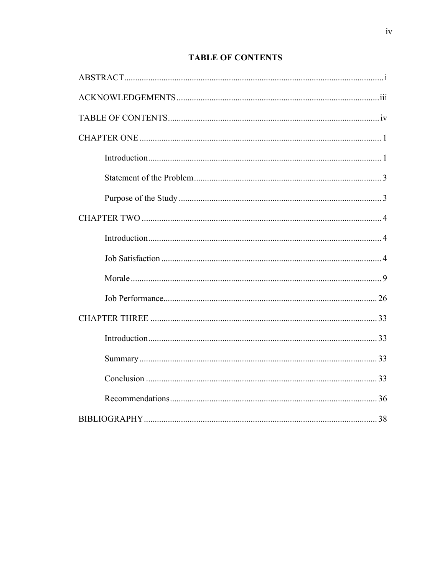# **TABLE OF CONTENTS**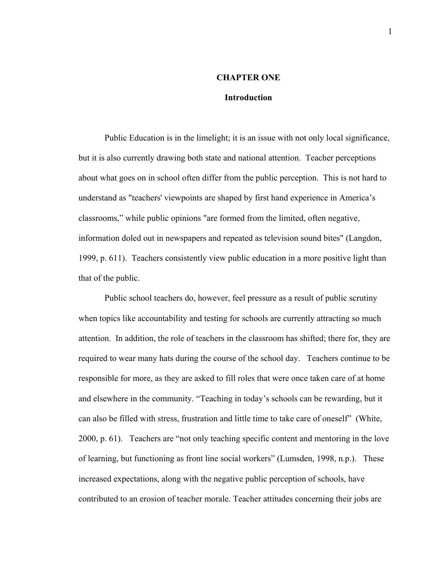# **CHAPTER ONE**

#### **Introduction**

Public Education is in the limelight; it is an issue with not only local significance, but it is also currently drawing both state and national attention. Teacher perceptions about what goes on in school often differ from the public perception. This is not hard to understand as "teachers' viewpoints are shaped by first hand experience in America's classrooms," while public opinions "are formed from the limited, often negative, information doled out in newspapers and repeated as television sound bites" (Langdon, 1999, p. 611). Teachers consistently view public education in a more positive light than that of the public.

Public school teachers do, however, feel pressure as a result of public scrutiny when topics like accountability and testing for schools are currently attracting so much attention. In addition, the role of teachers in the classroom has shifted; there for, they are required to wear many hats during the course of the school day. Teachers continue to be responsible for more, as they are asked to fill roles that were once taken care of at home and elsewhere in the community. "Teaching in today's schools can be rewarding, but it can also be filled with stress, frustration and little time to take care of oneself" (White, 2000, p. 61). Teachers are "not only teaching specific content and mentoring in the love of learning, but functioning as front line social workers" (Lumsden, 1998, n.p.). These increased expectations, along with the negative public perception of schools, have contributed to an erosion of teacher morale. Teacher attitudes concerning their jobs are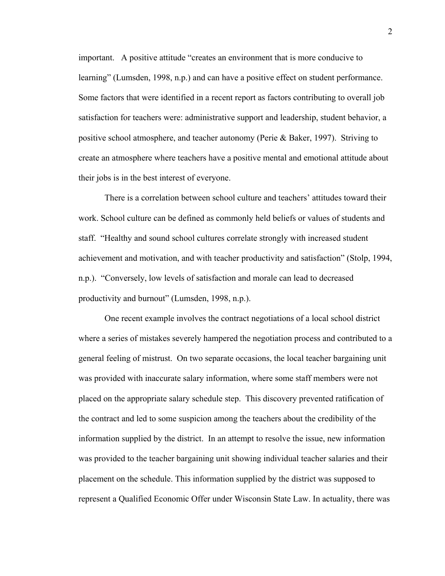important. A positive attitude "creates an environment that is more conducive to learning" (Lumsden, 1998, n.p.) and can have a positive effect on student performance. Some factors that were identified in a recent report as factors contributing to overall job satisfaction for teachers were: administrative support and leadership, student behavior, a positive school atmosphere, and teacher autonomy (Perie & Baker, 1997). Striving to create an atmosphere where teachers have a positive mental and emotional attitude about their jobs is in the best interest of everyone.

There is a correlation between school culture and teachers' attitudes toward their work. School culture can be defined as commonly held beliefs or values of students and staff. "Healthy and sound school cultures correlate strongly with increased student achievement and motivation, and with teacher productivity and satisfaction" (Stolp, 1994, n.p.). "Conversely, low levels of satisfaction and morale can lead to decreased productivity and burnout" (Lumsden, 1998, n.p.).

One recent example involves the contract negotiations of a local school district where a series of mistakes severely hampered the negotiation process and contributed to a general feeling of mistrust. On two separate occasions, the local teacher bargaining unit was provided with inaccurate salary information, where some staff members were not placed on the appropriate salary schedule step. This discovery prevented ratification of the contract and led to some suspicion among the teachers about the credibility of the information supplied by the district. In an attempt to resolve the issue, new information was provided to the teacher bargaining unit showing individual teacher salaries and their placement on the schedule. This information supplied by the district was supposed to represent a Qualified Economic Offer under Wisconsin State Law. In actuality, there was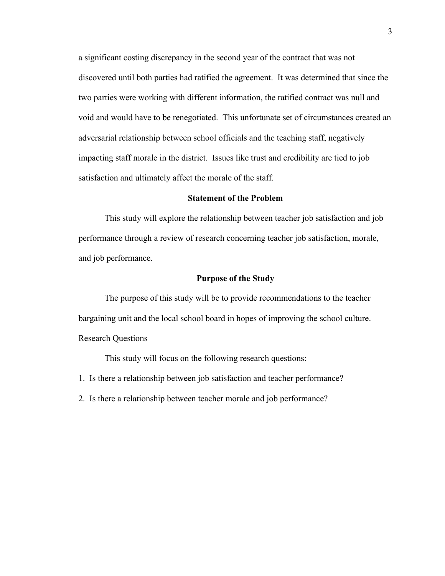a significant costing discrepancy in the second year of the contract that was not discovered until both parties had ratified the agreement. It was determined that since the two parties were working with different information, the ratified contract was null and void and would have to be renegotiated. This unfortunate set of circumstances created an adversarial relationship between school officials and the teaching staff, negatively impacting staff morale in the district. Issues like trust and credibility are tied to job satisfaction and ultimately affect the morale of the staff.

# **Statement of the Problem**

 This study will explore the relationship between teacher job satisfaction and job performance through a review of research concerning teacher job satisfaction, morale, and job performance.

# **Purpose of the Study**

 The purpose of this study will be to provide recommendations to the teacher bargaining unit and the local school board in hopes of improving the school culture. Research Questions

This study will focus on the following research questions:

- 1. Is there a relationship between job satisfaction and teacher performance?
- 2. Is there a relationship between teacher morale and job performance?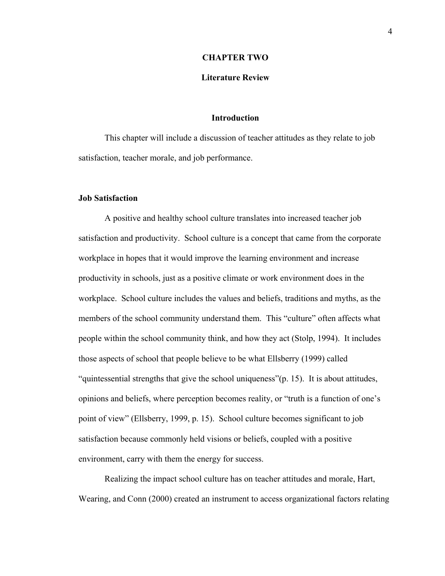#### **CHAPTER TWO**

# **Literature Review**

# **Introduction**

This chapter will include a discussion of teacher attitudes as they relate to job satisfaction, teacher morale, and job performance.

#### **Job Satisfaction**

A positive and healthy school culture translates into increased teacher job satisfaction and productivity. School culture is a concept that came from the corporate workplace in hopes that it would improve the learning environment and increase productivity in schools, just as a positive climate or work environment does in the workplace. School culture includes the values and beliefs, traditions and myths, as the members of the school community understand them. This "culture" often affects what people within the school community think, and how they act (Stolp, 1994). It includes those aspects of school that people believe to be what Ellsberry (1999) called "quintessential strengths that give the school uniqueness"(p. 15). It is about attitudes, opinions and beliefs, where perception becomes reality, or "truth is a function of one's point of view" (Ellsberry, 1999, p. 15). School culture becomes significant to job satisfaction because commonly held visions or beliefs, coupled with a positive environment, carry with them the energy for success.

Realizing the impact school culture has on teacher attitudes and morale, Hart, Wearing, and Conn (2000) created an instrument to access organizational factors relating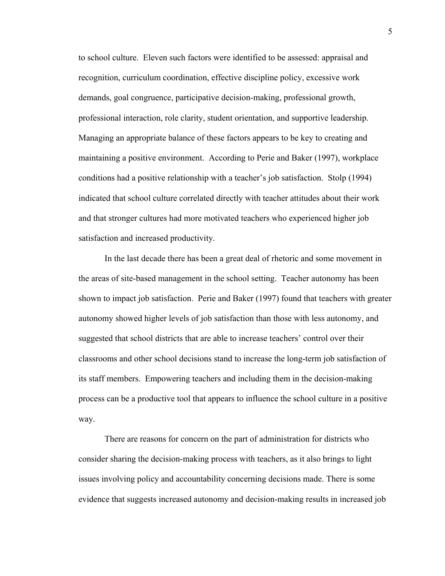to school culture. Eleven such factors were identified to be assessed: appraisal and recognition, curriculum coordination, effective discipline policy, excessive work demands, goal congruence, participative decision-making, professional growth, professional interaction, role clarity, student orientation, and supportive leadership. Managing an appropriate balance of these factors appears to be key to creating and maintaining a positive environment. According to Perie and Baker (1997), workplace conditions had a positive relationship with a teacher's job satisfaction. Stolp (1994) indicated that school culture correlated directly with teacher attitudes about their work and that stronger cultures had more motivated teachers who experienced higher job satisfaction and increased productivity.

In the last decade there has been a great deal of rhetoric and some movement in the areas of site-based management in the school setting. Teacher autonomy has been shown to impact job satisfaction. Perie and Baker (1997) found that teachers with greater autonomy showed higher levels of job satisfaction than those with less autonomy, and suggested that school districts that are able to increase teachers' control over their classrooms and other school decisions stand to increase the long-term job satisfaction of its staff members. Empowering teachers and including them in the decision-making process can be a productive tool that appears to influence the school culture in a positive way.

There are reasons for concern on the part of administration for districts who consider sharing the decision-making process with teachers, as it also brings to light issues involving policy and accountability concerning decisions made. There is some evidence that suggests increased autonomy and decision-making results in increased job

5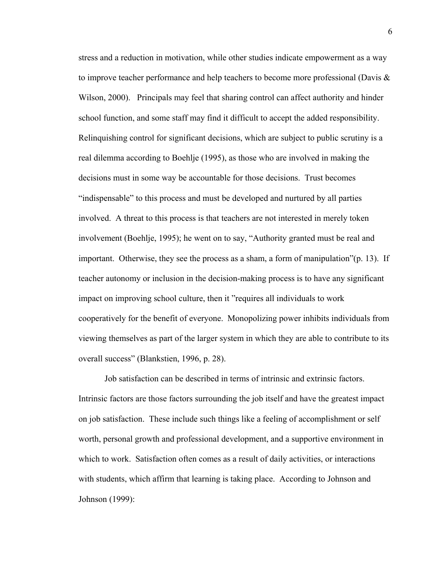stress and a reduction in motivation, while other studies indicate empowerment as a way to improve teacher performance and help teachers to become more professional (Davis  $\&$ Wilson, 2000). Principals may feel that sharing control can affect authority and hinder school function, and some staff may find it difficult to accept the added responsibility. Relinquishing control for significant decisions, which are subject to public scrutiny is a real dilemma according to Boehlje (1995), as those who are involved in making the decisions must in some way be accountable for those decisions. Trust becomes "indispensable" to this process and must be developed and nurtured by all parties involved. A threat to this process is that teachers are not interested in merely token involvement (Boehlje, 1995); he went on to say, "Authority granted must be real and important. Otherwise, they see the process as a sham, a form of manipulation"(p. 13). If teacher autonomy or inclusion in the decision-making process is to have any significant impact on improving school culture, then it "requires all individuals to work cooperatively for the benefit of everyone. Monopolizing power inhibits individuals from viewing themselves as part of the larger system in which they are able to contribute to its overall success" (Blankstien, 1996, p. 28).

Job satisfaction can be described in terms of intrinsic and extrinsic factors. Intrinsic factors are those factors surrounding the job itself and have the greatest impact on job satisfaction. These include such things like a feeling of accomplishment or self worth, personal growth and professional development, and a supportive environment in which to work. Satisfaction often comes as a result of daily activities, or interactions with students, which affirm that learning is taking place. According to Johnson and Johnson (1999):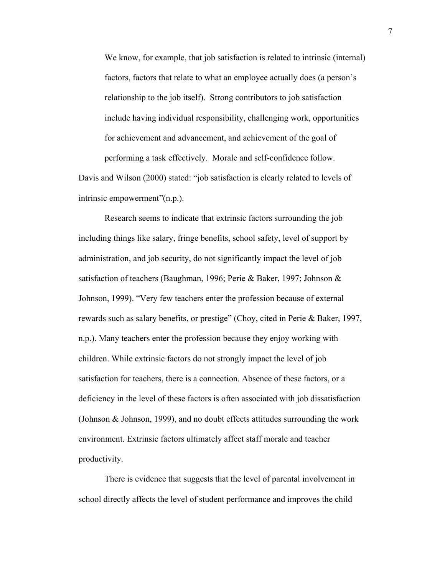We know, for example, that job satisfaction is related to intrinsic (internal) factors, factors that relate to what an employee actually does (a person's relationship to the job itself). Strong contributors to job satisfaction include having individual responsibility, challenging work, opportunities for achievement and advancement, and achievement of the goal of performing a task effectively. Morale and self-confidence follow.

Davis and Wilson (2000) stated: "job satisfaction is clearly related to levels of intrinsic empowerment"(n.p.).

Research seems to indicate that extrinsic factors surrounding the job including things like salary, fringe benefits, school safety, level of support by administration, and job security, do not significantly impact the level of job satisfaction of teachers (Baughman, 1996; Perie & Baker, 1997; Johnson & Johnson, 1999). "Very few teachers enter the profession because of external rewards such as salary benefits, or prestige" (Choy, cited in Perie & Baker, 1997, n.p.). Many teachers enter the profession because they enjoy working with children. While extrinsic factors do not strongly impact the level of job satisfaction for teachers, there is a connection. Absence of these factors, or a deficiency in the level of these factors is often associated with job dissatisfaction (Johnson & Johnson, 1999), and no doubt effects attitudes surrounding the work environment. Extrinsic factors ultimately affect staff morale and teacher productivity.

There is evidence that suggests that the level of parental involvement in school directly affects the level of student performance and improves the child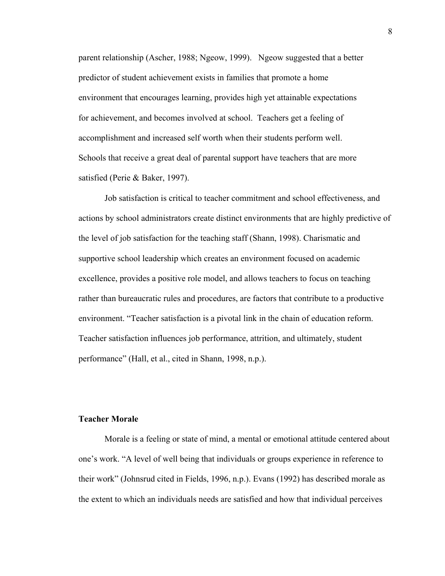parent relationship (Ascher, 1988; Ngeow, 1999). Ngeow suggested that a better predictor of student achievement exists in families that promote a home environment that encourages learning, provides high yet attainable expectations for achievement, and becomes involved at school. Teachers get a feeling of accomplishment and increased self worth when their students perform well. Schools that receive a great deal of parental support have teachers that are more satisfied (Perie & Baker, 1997).

Job satisfaction is critical to teacher commitment and school effectiveness, and actions by school administrators create distinct environments that are highly predictive of the level of job satisfaction for the teaching staff (Shann, 1998). Charismatic and supportive school leadership which creates an environment focused on academic excellence, provides a positive role model, and allows teachers to focus on teaching rather than bureaucratic rules and procedures, are factors that contribute to a productive environment. "Teacher satisfaction is a pivotal link in the chain of education reform. Teacher satisfaction influences job performance, attrition, and ultimately, student performance" (Hall, et al., cited in Shann, 1998, n.p.).

# **Teacher Morale**

Morale is a feeling or state of mind, a mental or emotional attitude centered about one's work. "A level of well being that individuals or groups experience in reference to their work" (Johnsrud cited in Fields, 1996, n.p.). Evans (1992) has described morale as the extent to which an individuals needs are satisfied and how that individual perceives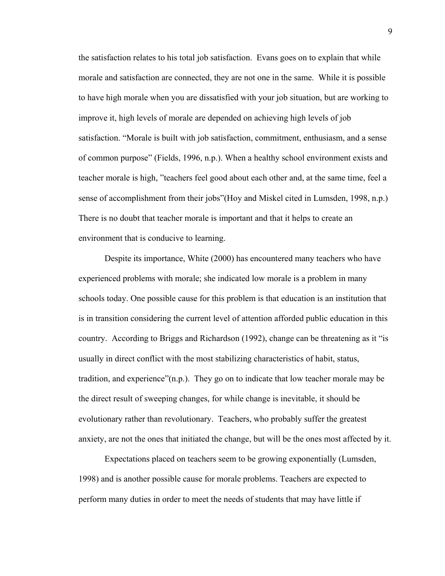the satisfaction relates to his total job satisfaction. Evans goes on to explain that while morale and satisfaction are connected, they are not one in the same. While it is possible to have high morale when you are dissatisfied with your job situation, but are working to improve it, high levels of morale are depended on achieving high levels of job satisfaction. "Morale is built with job satisfaction, commitment, enthusiasm, and a sense of common purpose" (Fields, 1996, n.p.). When a healthy school environment exists and teacher morale is high, "teachers feel good about each other and, at the same time, feel a sense of accomplishment from their jobs"(Hoy and Miskel cited in Lumsden, 1998, n.p.) There is no doubt that teacher morale is important and that it helps to create an environment that is conducive to learning.

Despite its importance, White (2000) has encountered many teachers who have experienced problems with morale; she indicated low morale is a problem in many schools today. One possible cause for this problem is that education is an institution that is in transition considering the current level of attention afforded public education in this country. According to Briggs and Richardson (1992), change can be threatening as it "is usually in direct conflict with the most stabilizing characteristics of habit, status, tradition, and experience"(n.p.). They go on to indicate that low teacher morale may be the direct result of sweeping changes, for while change is inevitable, it should be evolutionary rather than revolutionary. Teachers, who probably suffer the greatest anxiety, are not the ones that initiated the change, but will be the ones most affected by it.

Expectations placed on teachers seem to be growing exponentially (Lumsden, 1998) and is another possible cause for morale problems. Teachers are expected to perform many duties in order to meet the needs of students that may have little if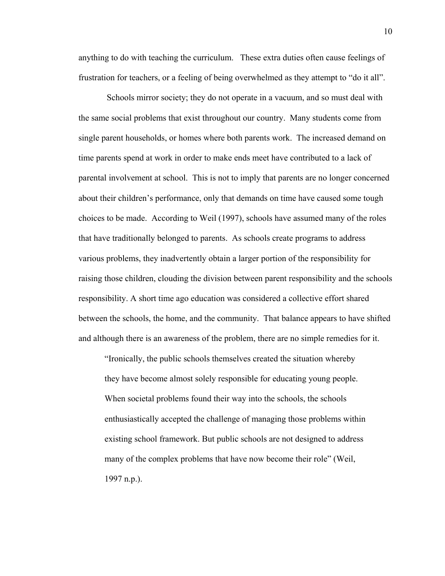anything to do with teaching the curriculum. These extra duties often cause feelings of frustration for teachers, or a feeling of being overwhelmed as they attempt to "do it all".

 Schools mirror society; they do not operate in a vacuum, and so must deal with the same social problems that exist throughout our country. Many students come from single parent households, or homes where both parents work. The increased demand on time parents spend at work in order to make ends meet have contributed to a lack of parental involvement at school. This is not to imply that parents are no longer concerned about their children's performance, only that demands on time have caused some tough choices to be made. According to Weil (1997), schools have assumed many of the roles that have traditionally belonged to parents. As schools create programs to address various problems, they inadvertently obtain a larger portion of the responsibility for raising those children, clouding the division between parent responsibility and the schools responsibility. A short time ago education was considered a collective effort shared between the schools, the home, and the community. That balance appears to have shifted and although there is an awareness of the problem, there are no simple remedies for it.

"Ironically, the public schools themselves created the situation whereby they have become almost solely responsible for educating young people. When societal problems found their way into the schools, the schools enthusiastically accepted the challenge of managing those problems within existing school framework. But public schools are not designed to address many of the complex problems that have now become their role" (Weil, 1997 n.p.).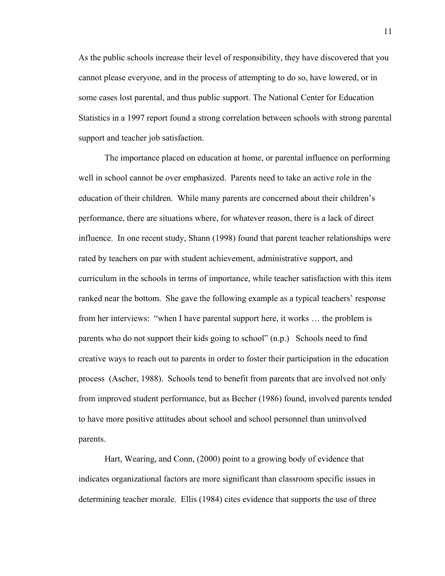As the public schools increase their level of responsibility, they have discovered that you cannot please everyone, and in the process of attempting to do so, have lowered, or in some cases lost parental, and thus public support. The National Center for Education Statistics in a 1997 report found a strong correlation between schools with strong parental support and teacher job satisfaction.

 The importance placed on education at home, or parental influence on performing well in school cannot be over emphasized. Parents need to take an active role in the education of their children. While many parents are concerned about their children's performance, there are situations where, for whatever reason, there is a lack of direct influence. In one recent study, Shann (1998) found that parent teacher relationships were rated by teachers on par with student achievement, administrative support, and curriculum in the schools in terms of importance, while teacher satisfaction with this item ranked near the bottom. She gave the following example as a typical teachers' response from her interviews: "when I have parental support here, it works … the problem is parents who do not support their kids going to school" (n.p.) Schools need to find creative ways to reach out to parents in order to foster their participation in the education process (Ascher, 1988). Schools tend to benefit from parents that are involved not only from improved student performance, but as Becher (1986) found, involved parents tended to have more positive attitudes about school and school personnel than uninvolved parents.

Hart, Wearing, and Conn, (2000) point to a growing body of evidence that indicates organizational factors are more significant than classroom specific issues in determining teacher morale. Ellis (1984) cites evidence that supports the use of three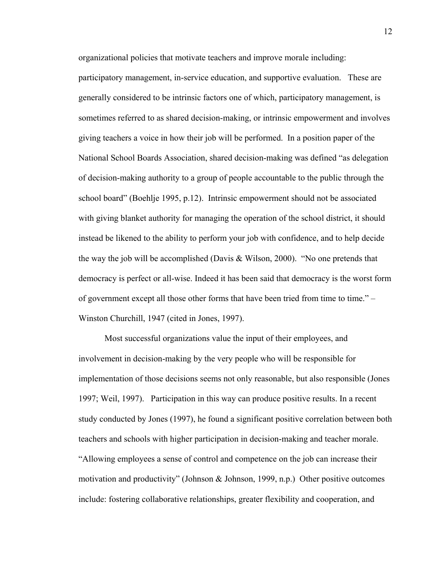organizational policies that motivate teachers and improve morale including:

participatory management, in-service education, and supportive evaluation. These are generally considered to be intrinsic factors one of which, participatory management, is sometimes referred to as shared decision-making, or intrinsic empowerment and involves giving teachers a voice in how their job will be performed. In a position paper of the National School Boards Association, shared decision-making was defined "as delegation of decision-making authority to a group of people accountable to the public through the school board" (Boehlje 1995, p.12). Intrinsic empowerment should not be associated with giving blanket authority for managing the operation of the school district, it should instead be likened to the ability to perform your job with confidence, and to help decide the way the job will be accomplished (Davis & Wilson, 2000). "No one pretends that democracy is perfect or all-wise. Indeed it has been said that democracy is the worst form of government except all those other forms that have been tried from time to time." – Winston Churchill, 1947 (cited in Jones, 1997).

Most successful organizations value the input of their employees, and involvement in decision-making by the very people who will be responsible for implementation of those decisions seems not only reasonable, but also responsible (Jones 1997; Weil, 1997). Participation in this way can produce positive results. In a recent study conducted by Jones (1997), he found a significant positive correlation between both teachers and schools with higher participation in decision-making and teacher morale. "Allowing employees a sense of control and competence on the job can increase their motivation and productivity" (Johnson & Johnson, 1999, n.p.) Other positive outcomes include: fostering collaborative relationships, greater flexibility and cooperation, and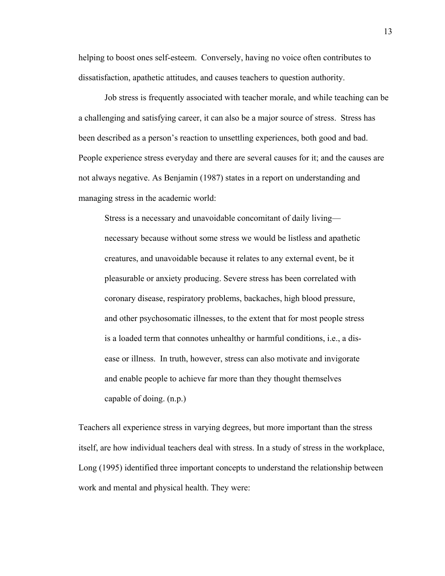helping to boost ones self-esteem. Conversely, having no voice often contributes to dissatisfaction, apathetic attitudes, and causes teachers to question authority.

Job stress is frequently associated with teacher morale, and while teaching can be a challenging and satisfying career, it can also be a major source of stress. Stress has been described as a person's reaction to unsettling experiences, both good and bad. People experience stress everyday and there are several causes for it; and the causes are not always negative. As Benjamin (1987) states in a report on understanding and managing stress in the academic world:

Stress is a necessary and unavoidable concomitant of daily living necessary because without some stress we would be listless and apathetic creatures, and unavoidable because it relates to any external event, be it pleasurable or anxiety producing. Severe stress has been correlated with coronary disease, respiratory problems, backaches, high blood pressure, and other psychosomatic illnesses, to the extent that for most people stress is a loaded term that connotes unhealthy or harmful conditions, i.e., a disease or illness. In truth, however, stress can also motivate and invigorate and enable people to achieve far more than they thought themselves capable of doing. (n.p.)

Teachers all experience stress in varying degrees, but more important than the stress itself, are how individual teachers deal with stress. In a study of stress in the workplace, Long (1995) identified three important concepts to understand the relationship between work and mental and physical health. They were: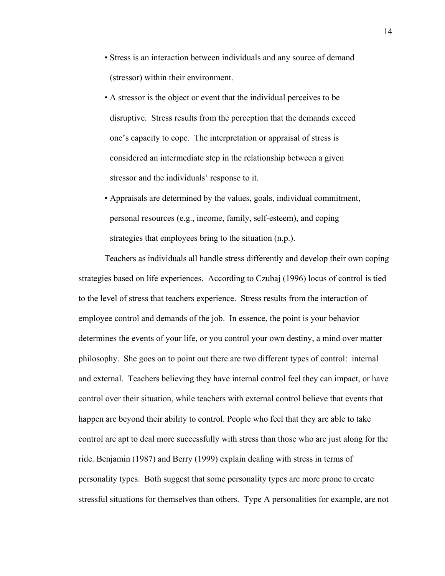- Stress is an interaction between individuals and any source of demand (stressor) within their environment.
- A stressor is the object or event that the individual perceives to be disruptive. Stress results from the perception that the demands exceed one's capacity to cope. The interpretation or appraisal of stress is considered an intermediate step in the relationship between a given stressor and the individuals' response to it.
- Appraisals are determined by the values, goals, individual commitment, personal resources (e.g., income, family, self-esteem), and coping strategies that employees bring to the situation (n.p.).

Teachers as individuals all handle stress differently and develop their own coping strategies based on life experiences. According to Czubaj (1996) locus of control is tied to the level of stress that teachers experience. Stress results from the interaction of employee control and demands of the job. In essence, the point is your behavior determines the events of your life, or you control your own destiny, a mind over matter philosophy. She goes on to point out there are two different types of control: internal and external. Teachers believing they have internal control feel they can impact, or have control over their situation, while teachers with external control believe that events that happen are beyond their ability to control. People who feel that they are able to take control are apt to deal more successfully with stress than those who are just along for the ride. Benjamin (1987) and Berry (1999) explain dealing with stress in terms of personality types. Both suggest that some personality types are more prone to create stressful situations for themselves than others. Type A personalities for example, are not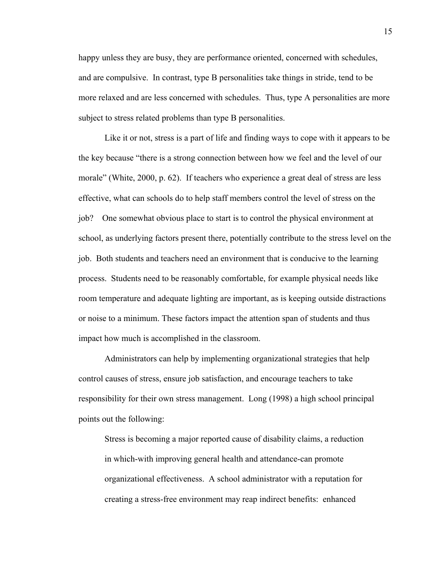happy unless they are busy, they are performance oriented, concerned with schedules, and are compulsive. In contrast, type B personalities take things in stride, tend to be more relaxed and are less concerned with schedules. Thus, type A personalities are more subject to stress related problems than type B personalities.

Like it or not, stress is a part of life and finding ways to cope with it appears to be the key because "there is a strong connection between how we feel and the level of our morale" (White, 2000, p. 62). If teachers who experience a great deal of stress are less effective, what can schools do to help staff members control the level of stress on the job? One somewhat obvious place to start is to control the physical environment at school, as underlying factors present there, potentially contribute to the stress level on the job. Both students and teachers need an environment that is conducive to the learning process. Students need to be reasonably comfortable, for example physical needs like room temperature and adequate lighting are important, as is keeping outside distractions or noise to a minimum. These factors impact the attention span of students and thus impact how much is accomplished in the classroom.

Administrators can help by implementing organizational strategies that help control causes of stress, ensure job satisfaction, and encourage teachers to take responsibility for their own stress management. Long (1998) a high school principal points out the following:

Stress is becoming a major reported cause of disability claims, a reduction in which-with improving general health and attendance-can promote organizational effectiveness. A school administrator with a reputation for creating a stress-free environment may reap indirect benefits: enhanced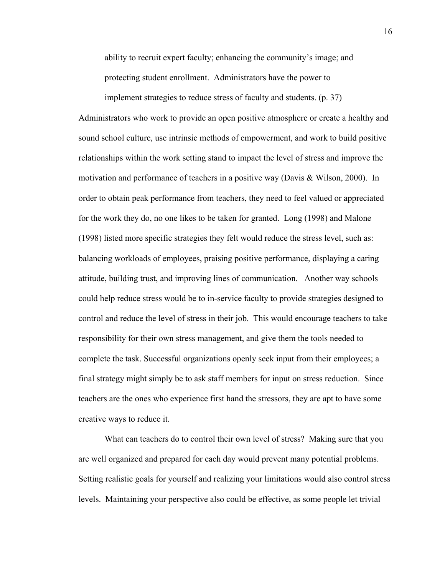ability to recruit expert faculty; enhancing the community's image; and protecting student enrollment. Administrators have the power to

implement strategies to reduce stress of faculty and students. (p. 37) Administrators who work to provide an open positive atmosphere or create a healthy and sound school culture, use intrinsic methods of empowerment, and work to build positive relationships within the work setting stand to impact the level of stress and improve the motivation and performance of teachers in a positive way (Davis & Wilson, 2000). In order to obtain peak performance from teachers, they need to feel valued or appreciated for the work they do, no one likes to be taken for granted. Long (1998) and Malone (1998) listed more specific strategies they felt would reduce the stress level, such as: balancing workloads of employees, praising positive performance, displaying a caring attitude, building trust, and improving lines of communication. Another way schools could help reduce stress would be to in-service faculty to provide strategies designed to control and reduce the level of stress in their job. This would encourage teachers to take responsibility for their own stress management, and give them the tools needed to complete the task. Successful organizations openly seek input from their employees; a final strategy might simply be to ask staff members for input on stress reduction. Since teachers are the ones who experience first hand the stressors, they are apt to have some creative ways to reduce it.

 What can teachers do to control their own level of stress? Making sure that you are well organized and prepared for each day would prevent many potential problems. Setting realistic goals for yourself and realizing your limitations would also control stress levels. Maintaining your perspective also could be effective, as some people let trivial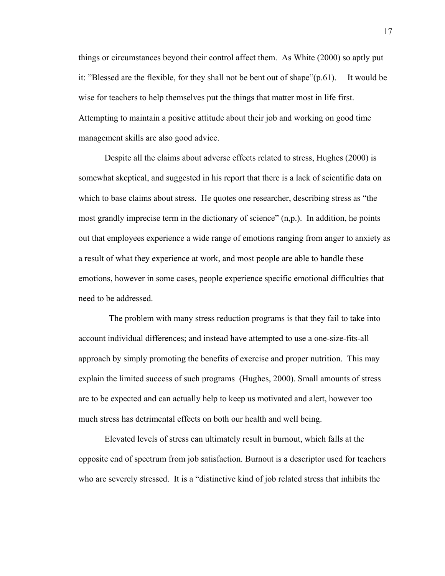things or circumstances beyond their control affect them. As White (2000) so aptly put it: "Blessed are the flexible, for they shall not be bent out of shape"(p.61). It would be wise for teachers to help themselves put the things that matter most in life first. Attempting to maintain a positive attitude about their job and working on good time management skills are also good advice.

Despite all the claims about adverse effects related to stress, Hughes (2000) is somewhat skeptical, and suggested in his report that there is a lack of scientific data on which to base claims about stress. He quotes one researcher, describing stress as "the most grandly imprecise term in the dictionary of science" (n,p.). In addition, he points out that employees experience a wide range of emotions ranging from anger to anxiety as a result of what they experience at work, and most people are able to handle these emotions, however in some cases, people experience specific emotional difficulties that need to be addressed.

 The problem with many stress reduction programs is that they fail to take into account individual differences; and instead have attempted to use a one-size-fits-all approach by simply promoting the benefits of exercise and proper nutrition. This may explain the limited success of such programs (Hughes, 2000). Small amounts of stress are to be expected and can actually help to keep us motivated and alert, however too much stress has detrimental effects on both our health and well being.

Elevated levels of stress can ultimately result in burnout, which falls at the opposite end of spectrum from job satisfaction. Burnout is a descriptor used for teachers who are severely stressed. It is a "distinctive kind of job related stress that inhibits the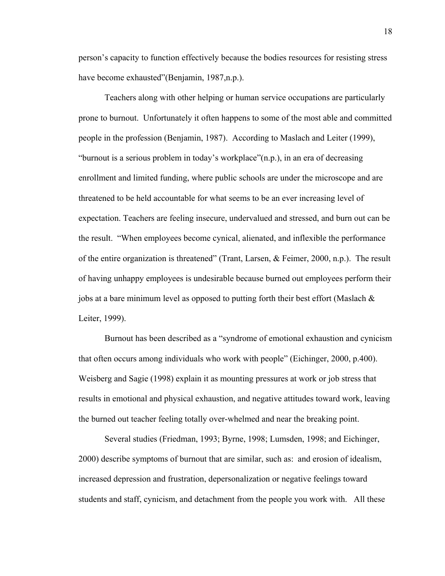person's capacity to function effectively because the bodies resources for resisting stress have become exhausted"(Benjamin, 1987,n.p.).

Teachers along with other helping or human service occupations are particularly prone to burnout. Unfortunately it often happens to some of the most able and committed people in the profession (Benjamin, 1987). According to Maslach and Leiter (1999), "burnout is a serious problem in today's workplace"(n.p.), in an era of decreasing enrollment and limited funding, where public schools are under the microscope and are threatened to be held accountable for what seems to be an ever increasing level of expectation. Teachers are feeling insecure, undervalued and stressed, and burn out can be the result. "When employees become cynical, alienated, and inflexible the performance of the entire organization is threatened" (Trant, Larsen, & Feimer, 2000, n.p.). The result of having unhappy employees is undesirable because burned out employees perform their jobs at a bare minimum level as opposed to putting forth their best effort (Maslach & Leiter, 1999).

Burnout has been described as a "syndrome of emotional exhaustion and cynicism that often occurs among individuals who work with people" (Eichinger, 2000, p.400). Weisberg and Sagie (1998) explain it as mounting pressures at work or job stress that results in emotional and physical exhaustion, and negative attitudes toward work, leaving the burned out teacher feeling totally over-whelmed and near the breaking point.

Several studies (Friedman, 1993; Byrne, 1998; Lumsden, 1998; and Eichinger, 2000) describe symptoms of burnout that are similar, such as: and erosion of idealism, increased depression and frustration, depersonalization or negative feelings toward students and staff, cynicism, and detachment from the people you work with. All these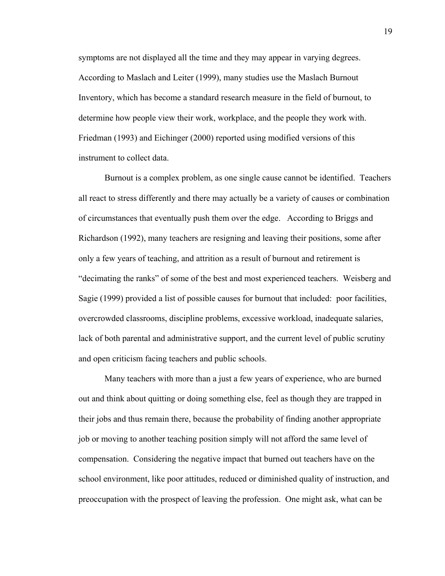symptoms are not displayed all the time and they may appear in varying degrees. According to Maslach and Leiter (1999), many studies use the Maslach Burnout Inventory, which has become a standard research measure in the field of burnout, to determine how people view their work, workplace, and the people they work with. Friedman (1993) and Eichinger (2000) reported using modified versions of this instrument to collect data.

Burnout is a complex problem, as one single cause cannot be identified. Teachers all react to stress differently and there may actually be a variety of causes or combination of circumstances that eventually push them over the edge. According to Briggs and Richardson (1992), many teachers are resigning and leaving their positions, some after only a few years of teaching, and attrition as a result of burnout and retirement is "decimating the ranks" of some of the best and most experienced teachers. Weisberg and Sagie (1999) provided a list of possible causes for burnout that included: poor facilities, overcrowded classrooms, discipline problems, excessive workload, inadequate salaries, lack of both parental and administrative support, and the current level of public scrutiny and open criticism facing teachers and public schools.

Many teachers with more than a just a few years of experience, who are burned out and think about quitting or doing something else, feel as though they are trapped in their jobs and thus remain there, because the probability of finding another appropriate job or moving to another teaching position simply will not afford the same level of compensation. Considering the negative impact that burned out teachers have on the school environment, like poor attitudes, reduced or diminished quality of instruction, and preoccupation with the prospect of leaving the profession. One might ask, what can be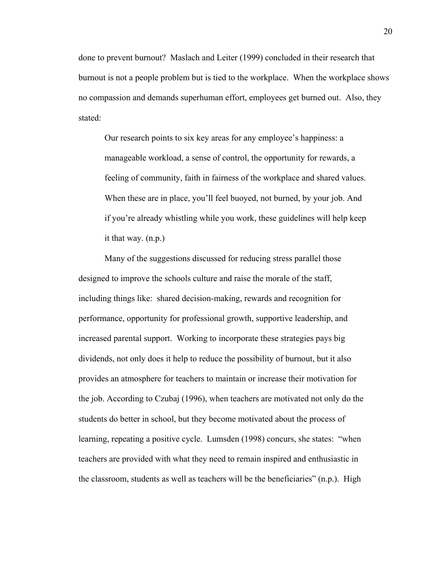done to prevent burnout? Maslach and Leiter (1999) concluded in their research that burnout is not a people problem but is tied to the workplace. When the workplace shows no compassion and demands superhuman effort, employees get burned out. Also, they stated:

Our research points to six key areas for any employee's happiness: a manageable workload, a sense of control, the opportunity for rewards, a feeling of community, faith in fairness of the workplace and shared values. When these are in place, you'll feel buoyed, not burned, by your job. And if you're already whistling while you work, these guidelines will help keep it that way. (n.p.)

 Many of the suggestions discussed for reducing stress parallel those designed to improve the schools culture and raise the morale of the staff, including things like: shared decision-making, rewards and recognition for performance, opportunity for professional growth, supportive leadership, and increased parental support. Working to incorporate these strategies pays big dividends, not only does it help to reduce the possibility of burnout, but it also provides an atmosphere for teachers to maintain or increase their motivation for the job. According to Czubaj (1996), when teachers are motivated not only do the students do better in school, but they become motivated about the process of learning, repeating a positive cycle. Lumsden (1998) concurs, she states: "when teachers are provided with what they need to remain inspired and enthusiastic in the classroom, students as well as teachers will be the beneficiaries" (n.p.). High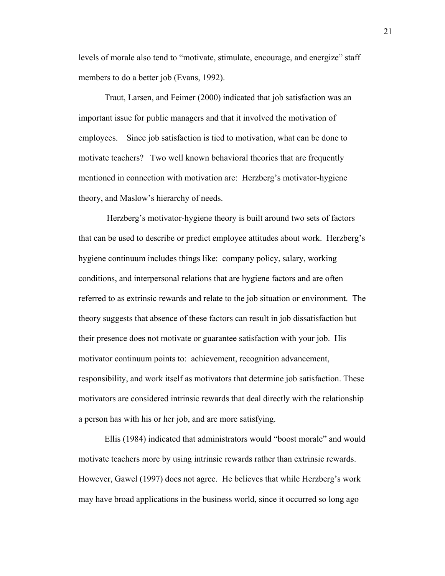levels of morale also tend to "motivate, stimulate, encourage, and energize" staff members to do a better job (Evans, 1992).

 Traut, Larsen, and Feimer (2000) indicated that job satisfaction was an important issue for public managers and that it involved the motivation of employees. Since job satisfaction is tied to motivation, what can be done to motivate teachers? Two well known behavioral theories that are frequently mentioned in connection with motivation are: Herzberg's motivator-hygiene theory, and Maslow's hierarchy of needs.

 Herzberg's motivator-hygiene theory is built around two sets of factors that can be used to describe or predict employee attitudes about work. Herzberg's hygiene continuum includes things like: company policy, salary, working conditions, and interpersonal relations that are hygiene factors and are often referred to as extrinsic rewards and relate to the job situation or environment. The theory suggests that absence of these factors can result in job dissatisfaction but their presence does not motivate or guarantee satisfaction with your job. His motivator continuum points to: achievement, recognition advancement, responsibility, and work itself as motivators that determine job satisfaction. These motivators are considered intrinsic rewards that deal directly with the relationship a person has with his or her job, and are more satisfying.

Ellis (1984) indicated that administrators would "boost morale" and would motivate teachers more by using intrinsic rewards rather than extrinsic rewards. However, Gawel (1997) does not agree. He believes that while Herzberg's work may have broad applications in the business world, since it occurred so long ago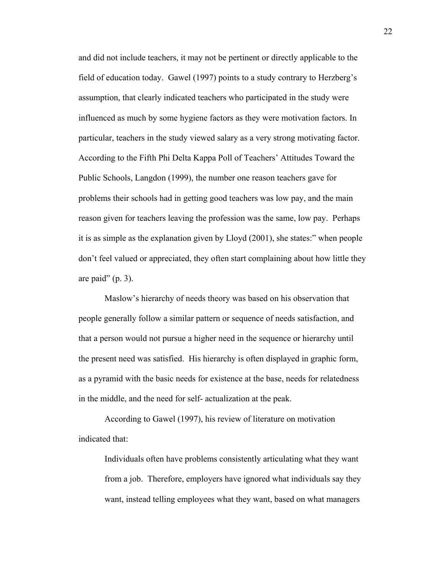and did not include teachers, it may not be pertinent or directly applicable to the field of education today. Gawel (1997) points to a study contrary to Herzberg's assumption, that clearly indicated teachers who participated in the study were influenced as much by some hygiene factors as they were motivation factors. In particular, teachers in the study viewed salary as a very strong motivating factor. According to the Fifth Phi Delta Kappa Poll of Teachers' Attitudes Toward the Public Schools, Langdon (1999), the number one reason teachers gave for problems their schools had in getting good teachers was low pay, and the main reason given for teachers leaving the profession was the same, low pay. Perhaps it is as simple as the explanation given by Lloyd (2001), she states:" when people don't feel valued or appreciated, they often start complaining about how little they are paid" (p. 3).

Maslow's hierarchy of needs theory was based on his observation that people generally follow a similar pattern or sequence of needs satisfaction, and that a person would not pursue a higher need in the sequence or hierarchy until the present need was satisfied. His hierarchy is often displayed in graphic form, as a pyramid with the basic needs for existence at the base, needs for relatedness in the middle, and the need for self- actualization at the peak.

According to Gawel (1997), his review of literature on motivation indicated that:

Individuals often have problems consistently articulating what they want from a job. Therefore, employers have ignored what individuals say they want, instead telling employees what they want, based on what managers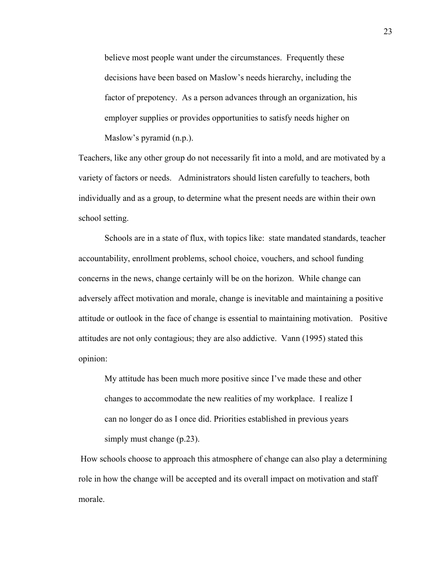believe most people want under the circumstances. Frequently these decisions have been based on Maslow's needs hierarchy, including the factor of prepotency. As a person advances through an organization, his employer supplies or provides opportunities to satisfy needs higher on Maslow's pyramid (n.p.).

Teachers, like any other group do not necessarily fit into a mold, and are motivated by a variety of factors or needs. Administrators should listen carefully to teachers, both individually and as a group, to determine what the present needs are within their own school setting.

 Schools are in a state of flux, with topics like: state mandated standards, teacher accountability, enrollment problems, school choice, vouchers, and school funding concerns in the news, change certainly will be on the horizon. While change can adversely affect motivation and morale, change is inevitable and maintaining a positive attitude or outlook in the face of change is essential to maintaining motivation. Positive attitudes are not only contagious; they are also addictive. Vann (1995) stated this opinion:

My attitude has been much more positive since I've made these and other changes to accommodate the new realities of my workplace. I realize I can no longer do as I once did. Priorities established in previous years simply must change (p.23).

 How schools choose to approach this atmosphere of change can also play a determining role in how the change will be accepted and its overall impact on motivation and staff morale.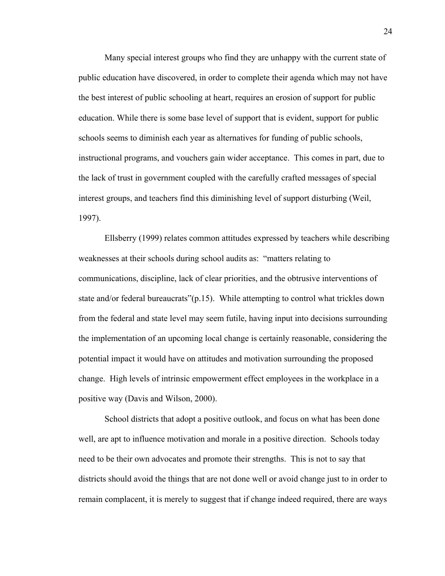Many special interest groups who find they are unhappy with the current state of public education have discovered, in order to complete their agenda which may not have the best interest of public schooling at heart, requires an erosion of support for public education. While there is some base level of support that is evident, support for public schools seems to diminish each year as alternatives for funding of public schools, instructional programs, and vouchers gain wider acceptance. This comes in part, due to the lack of trust in government coupled with the carefully crafted messages of special interest groups, and teachers find this diminishing level of support disturbing (Weil, 1997).

 Ellsberry (1999) relates common attitudes expressed by teachers while describing weaknesses at their schools during school audits as: "matters relating to communications, discipline, lack of clear priorities, and the obtrusive interventions of state and/or federal bureaucrats"(p.15). While attempting to control what trickles down from the federal and state level may seem futile, having input into decisions surrounding the implementation of an upcoming local change is certainly reasonable, considering the potential impact it would have on attitudes and motivation surrounding the proposed change. High levels of intrinsic empowerment effect employees in the workplace in a positive way (Davis and Wilson, 2000).

 School districts that adopt a positive outlook, and focus on what has been done well, are apt to influence motivation and morale in a positive direction. Schools today need to be their own advocates and promote their strengths. This is not to say that districts should avoid the things that are not done well or avoid change just to in order to remain complacent, it is merely to suggest that if change indeed required, there are ways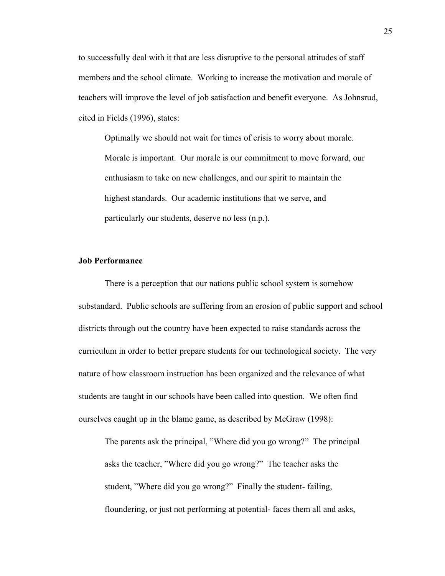to successfully deal with it that are less disruptive to the personal attitudes of staff members and the school climate. Working to increase the motivation and morale of teachers will improve the level of job satisfaction and benefit everyone. As Johnsrud, cited in Fields (1996), states:

Optimally we should not wait for times of crisis to worry about morale. Morale is important. Our morale is our commitment to move forward, our enthusiasm to take on new challenges, and our spirit to maintain the highest standards. Our academic institutions that we serve, and particularly our students, deserve no less (n.p.).

# **Job Performance**

There is a perception that our nations public school system is somehow substandard. Public schools are suffering from an erosion of public support and school districts through out the country have been expected to raise standards across the curriculum in order to better prepare students for our technological society. The very nature of how classroom instruction has been organized and the relevance of what students are taught in our schools have been called into question. We often find ourselves caught up in the blame game, as described by McGraw (1998):

The parents ask the principal, "Where did you go wrong?" The principal asks the teacher, "Where did you go wrong?" The teacher asks the student, "Where did you go wrong?" Finally the student- failing, floundering, or just not performing at potential- faces them all and asks,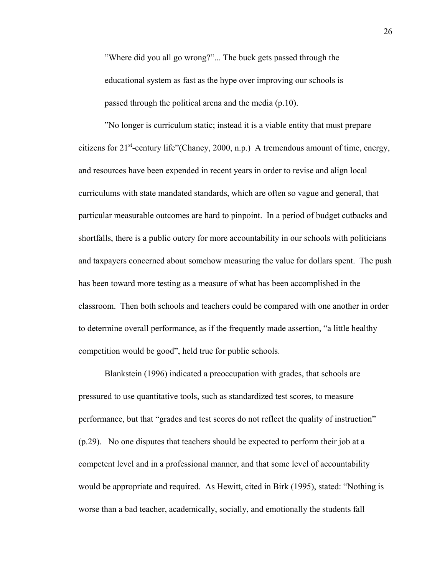"Where did you all go wrong?"... The buck gets passed through the educational system as fast as the hype over improving our schools is passed through the political arena and the media (p.10).

"No longer is curriculum static; instead it is a viable entity that must prepare citizens for  $21^{st}$ -century life"(Chaney, 2000, n.p.) A tremendous amount of time, energy, and resources have been expended in recent years in order to revise and align local curriculums with state mandated standards, which are often so vague and general, that particular measurable outcomes are hard to pinpoint. In a period of budget cutbacks and shortfalls, there is a public outcry for more accountability in our schools with politicians and taxpayers concerned about somehow measuring the value for dollars spent. The push has been toward more testing as a measure of what has been accomplished in the classroom. Then both schools and teachers could be compared with one another in order to determine overall performance, as if the frequently made assertion, "a little healthy competition would be good", held true for public schools.

Blankstein (1996) indicated a preoccupation with grades, that schools are pressured to use quantitative tools, such as standardized test scores, to measure performance, but that "grades and test scores do not reflect the quality of instruction" (p.29). No one disputes that teachers should be expected to perform their job at a competent level and in a professional manner, and that some level of accountability would be appropriate and required. As Hewitt, cited in Birk (1995), stated: "Nothing is worse than a bad teacher, academically, socially, and emotionally the students fall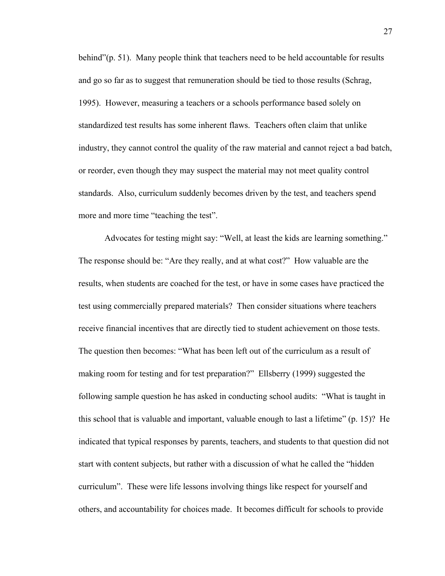behind"(p. 51). Many people think that teachers need to be held accountable for results and go so far as to suggest that remuneration should be tied to those results (Schrag, 1995). However, measuring a teachers or a schools performance based solely on standardized test results has some inherent flaws. Teachers often claim that unlike industry, they cannot control the quality of the raw material and cannot reject a bad batch, or reorder, even though they may suspect the material may not meet quality control standards. Also, curriculum suddenly becomes driven by the test, and teachers spend more and more time "teaching the test".

Advocates for testing might say: "Well, at least the kids are learning something." The response should be: "Are they really, and at what cost?" How valuable are the results, when students are coached for the test, or have in some cases have practiced the test using commercially prepared materials? Then consider situations where teachers receive financial incentives that are directly tied to student achievement on those tests. The question then becomes: "What has been left out of the curriculum as a result of making room for testing and for test preparation?" Ellsberry (1999) suggested the following sample question he has asked in conducting school audits: "What is taught in this school that is valuable and important, valuable enough to last a lifetime" (p. 15)? He indicated that typical responses by parents, teachers, and students to that question did not start with content subjects, but rather with a discussion of what he called the "hidden curriculum". These were life lessons involving things like respect for yourself and others, and accountability for choices made. It becomes difficult for schools to provide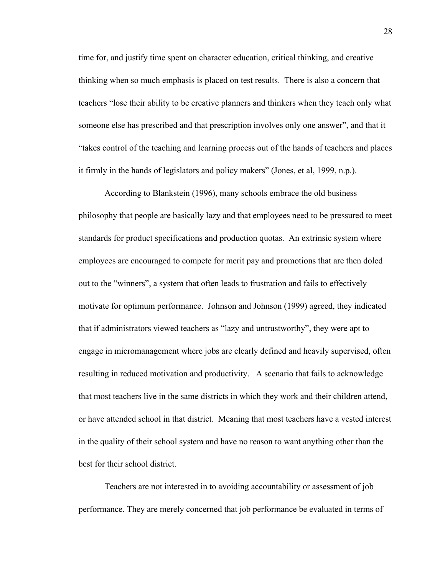time for, and justify time spent on character education, critical thinking, and creative thinking when so much emphasis is placed on test results. There is also a concern that teachers "lose their ability to be creative planners and thinkers when they teach only what someone else has prescribed and that prescription involves only one answer", and that it "takes control of the teaching and learning process out of the hands of teachers and places it firmly in the hands of legislators and policy makers" (Jones, et al, 1999, n.p.).

According to Blankstein (1996), many schools embrace the old business philosophy that people are basically lazy and that employees need to be pressured to meet standards for product specifications and production quotas. An extrinsic system where employees are encouraged to compete for merit pay and promotions that are then doled out to the "winners", a system that often leads to frustration and fails to effectively motivate for optimum performance. Johnson and Johnson (1999) agreed, they indicated that if administrators viewed teachers as "lazy and untrustworthy", they were apt to engage in micromanagement where jobs are clearly defined and heavily supervised, often resulting in reduced motivation and productivity. A scenario that fails to acknowledge that most teachers live in the same districts in which they work and their children attend, or have attended school in that district. Meaning that most teachers have a vested interest in the quality of their school system and have no reason to want anything other than the best for their school district.

Teachers are not interested in to avoiding accountability or assessment of job performance. They are merely concerned that job performance be evaluated in terms of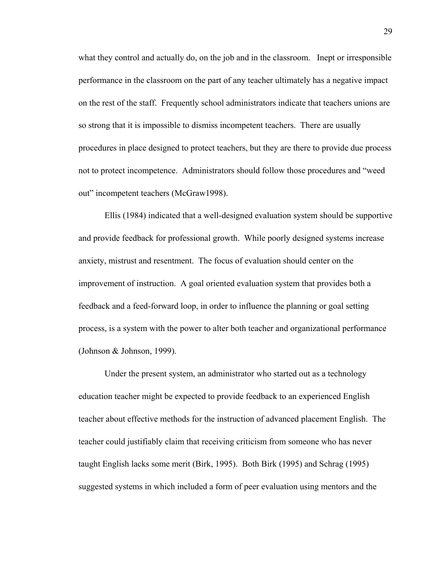what they control and actually do, on the job and in the classroom. Inept or irresponsible performance in the classroom on the part of any teacher ultimately has a negative impact on the rest of the staff. Frequently school administrators indicate that teachers unions are so strong that it is impossible to dismiss incompetent teachers. There are usually procedures in place designed to protect teachers, but they are there to provide due process not to protect incompetence. Administrators should follow those procedures and "weed out" incompetent teachers (McGraw1998).

Ellis (1984) indicated that a well-designed evaluation system should be supportive and provide feedback for professional growth. While poorly designed systems increase anxiety, mistrust and resentment. The focus of evaluation should center on the improvement of instruction. A goal oriented evaluation system that provides both a feedback and a feed-forward loop, in order to influence the planning or goal setting process, is a system with the power to alter both teacher and organizational performance (Johnson & Johnson, 1999).

Under the present system, an administrator who started out as a technology education teacher might be expected to provide feedback to an experienced English teacher about effective methods for the instruction of advanced placement English. The teacher could justifiably claim that receiving criticism from someone who has never taught English lacks some merit (Birk, 1995). Both Birk (1995) and Schrag (1995) suggested systems in which included a form of peer evaluation using mentors and the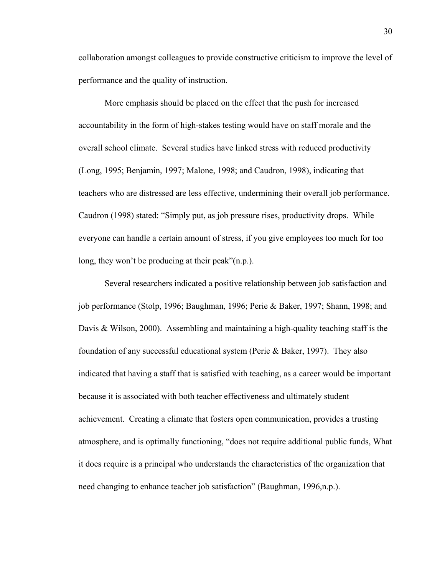collaboration amongst colleagues to provide constructive criticism to improve the level of performance and the quality of instruction.

More emphasis should be placed on the effect that the push for increased accountability in the form of high-stakes testing would have on staff morale and the overall school climate. Several studies have linked stress with reduced productivity (Long, 1995; Benjamin, 1997; Malone, 1998; and Caudron, 1998), indicating that teachers who are distressed are less effective, undermining their overall job performance. Caudron (1998) stated: "Simply put, as job pressure rises, productivity drops. While everyone can handle a certain amount of stress, if you give employees too much for too long, they won't be producing at their peak"(n.p.).

Several researchers indicated a positive relationship between job satisfaction and job performance (Stolp, 1996; Baughman, 1996; Perie & Baker, 1997; Shann, 1998; and Davis & Wilson, 2000). Assembling and maintaining a high-quality teaching staff is the foundation of any successful educational system (Perie & Baker, 1997). They also indicated that having a staff that is satisfied with teaching, as a career would be important because it is associated with both teacher effectiveness and ultimately student achievement. Creating a climate that fosters open communication, provides a trusting atmosphere, and is optimally functioning, "does not require additional public funds, What it does require is a principal who understands the characteristics of the organization that need changing to enhance teacher job satisfaction" (Baughman, 1996,n.p.).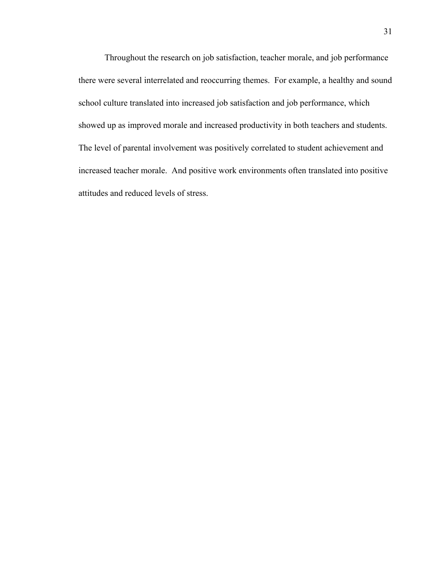Throughout the research on job satisfaction, teacher morale, and job performance there were several interrelated and reoccurring themes. For example, a healthy and sound school culture translated into increased job satisfaction and job performance, which showed up as improved morale and increased productivity in both teachers and students. The level of parental involvement was positively correlated to student achievement and increased teacher morale. And positive work environments often translated into positive attitudes and reduced levels of stress.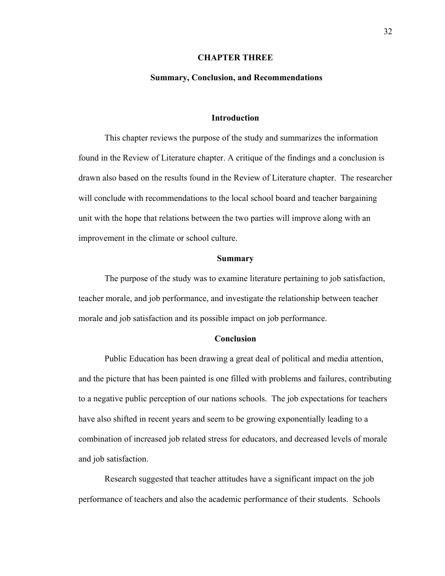#### **CHAPTER THREE**

# **Summary, Conclusion, and Recommendations**

#### **Introduction**

 This chapter reviews the purpose of the study and summarizes the information found in the Review of Literature chapter. A critique of the findings and a conclusion is drawn also based on the results found in the Review of Literature chapter. The researcher will conclude with recommendations to the local school board and teacher bargaining unit with the hope that relations between the two parties will improve along with an improvement in the climate or school culture.

#### **Summary**

The purpose of the study was to examine literature pertaining to job satisfaction, teacher morale, and job performance, and investigate the relationship between teacher morale and job satisfaction and its possible impact on job performance.

#### **Conclusion**

Public Education has been drawing a great deal of political and media attention, and the picture that has been painted is one filled with problems and failures, contributing to a negative public perception of our nations schools. The job expectations for teachers have also shifted in recent years and seem to be growing exponentially leading to a combination of increased job related stress for educators, and decreased levels of morale and job satisfaction.

Research suggested that teacher attitudes have a significant impact on the job performance of teachers and also the academic performance of their students. Schools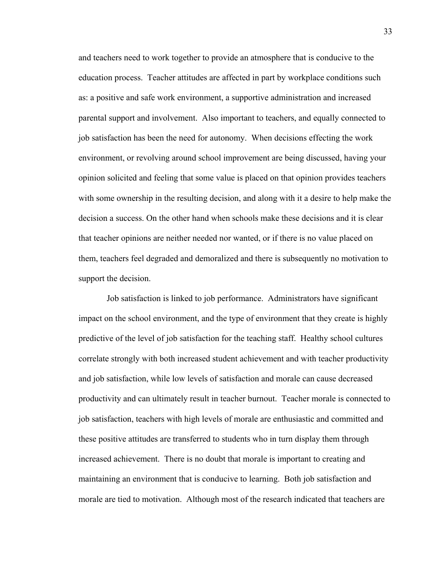and teachers need to work together to provide an atmosphere that is conducive to the education process. Teacher attitudes are affected in part by workplace conditions such as: a positive and safe work environment, a supportive administration and increased parental support and involvement. Also important to teachers, and equally connected to job satisfaction has been the need for autonomy. When decisions effecting the work environment, or revolving around school improvement are being discussed, having your opinion solicited and feeling that some value is placed on that opinion provides teachers with some ownership in the resulting decision, and along with it a desire to help make the decision a success. On the other hand when schools make these decisions and it is clear that teacher opinions are neither needed nor wanted, or if there is no value placed on them, teachers feel degraded and demoralized and there is subsequently no motivation to support the decision.

 Job satisfaction is linked to job performance. Administrators have significant impact on the school environment, and the type of environment that they create is highly predictive of the level of job satisfaction for the teaching staff. Healthy school cultures correlate strongly with both increased student achievement and with teacher productivity and job satisfaction, while low levels of satisfaction and morale can cause decreased productivity and can ultimately result in teacher burnout. Teacher morale is connected to job satisfaction, teachers with high levels of morale are enthusiastic and committed and these positive attitudes are transferred to students who in turn display them through increased achievement. There is no doubt that morale is important to creating and maintaining an environment that is conducive to learning. Both job satisfaction and morale are tied to motivation. Although most of the research indicated that teachers are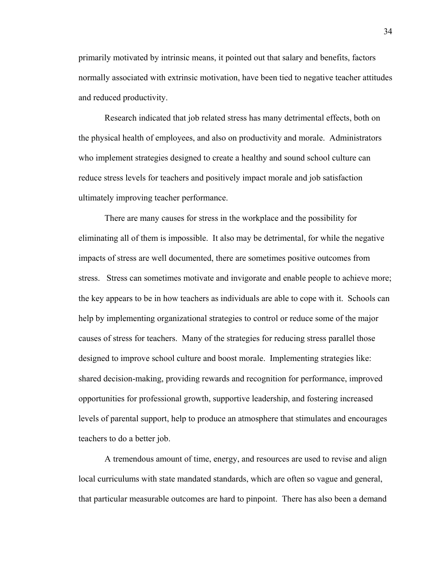primarily motivated by intrinsic means, it pointed out that salary and benefits, factors normally associated with extrinsic motivation, have been tied to negative teacher attitudes and reduced productivity.

Research indicated that job related stress has many detrimental effects, both on the physical health of employees, and also on productivity and morale. Administrators who implement strategies designed to create a healthy and sound school culture can reduce stress levels for teachers and positively impact morale and job satisfaction ultimately improving teacher performance.

There are many causes for stress in the workplace and the possibility for eliminating all of them is impossible. It also may be detrimental, for while the negative impacts of stress are well documented, there are sometimes positive outcomes from stress. Stress can sometimes motivate and invigorate and enable people to achieve more; the key appears to be in how teachers as individuals are able to cope with it. Schools can help by implementing organizational strategies to control or reduce some of the major causes of stress for teachers. Many of the strategies for reducing stress parallel those designed to improve school culture and boost morale. Implementing strategies like: shared decision-making, providing rewards and recognition for performance, improved opportunities for professional growth, supportive leadership, and fostering increased levels of parental support, help to produce an atmosphere that stimulates and encourages teachers to do a better job.

A tremendous amount of time, energy, and resources are used to revise and align local curriculums with state mandated standards, which are often so vague and general, that particular measurable outcomes are hard to pinpoint. There has also been a demand

34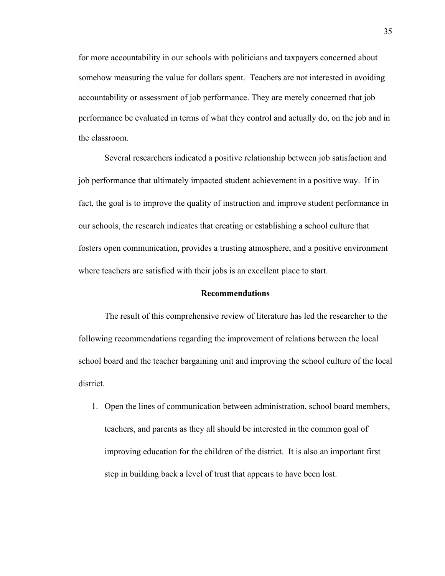for more accountability in our schools with politicians and taxpayers concerned about somehow measuring the value for dollars spent. Teachers are not interested in avoiding accountability or assessment of job performance. They are merely concerned that job performance be evaluated in terms of what they control and actually do, on the job and in the classroom.

Several researchers indicated a positive relationship between job satisfaction and job performance that ultimately impacted student achievement in a positive way. If in fact, the goal is to improve the quality of instruction and improve student performance in our schools, the research indicates that creating or establishing a school culture that fosters open communication, provides a trusting atmosphere, and a positive environment where teachers are satisfied with their jobs is an excellent place to start.

# **Recommendations**

 The result of this comprehensive review of literature has led the researcher to the following recommendations regarding the improvement of relations between the local school board and the teacher bargaining unit and improving the school culture of the local district.

1. Open the lines of communication between administration, school board members, teachers, and parents as they all should be interested in the common goal of improving education for the children of the district. It is also an important first step in building back a level of trust that appears to have been lost.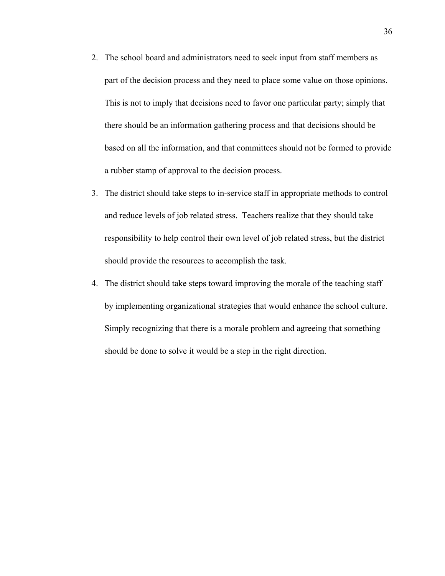- 2. The school board and administrators need to seek input from staff members as part of the decision process and they need to place some value on those opinions. This is not to imply that decisions need to favor one particular party; simply that there should be an information gathering process and that decisions should be based on all the information, and that committees should not be formed to provide a rubber stamp of approval to the decision process.
- 3. The district should take steps to in-service staff in appropriate methods to control and reduce levels of job related stress. Teachers realize that they should take responsibility to help control their own level of job related stress, but the district should provide the resources to accomplish the task.
- 4. The district should take steps toward improving the morale of the teaching staff by implementing organizational strategies that would enhance the school culture. Simply recognizing that there is a morale problem and agreeing that something should be done to solve it would be a step in the right direction.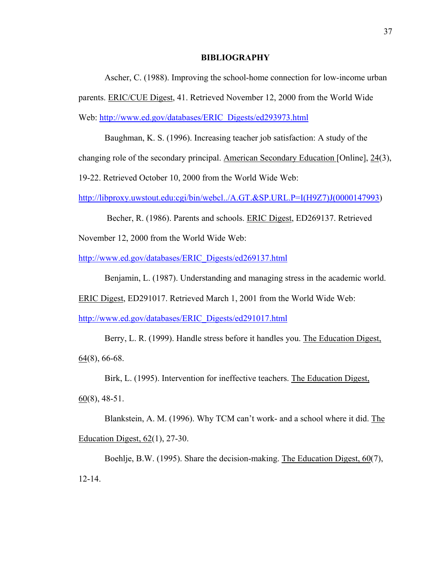#### **BIBLIOGRAPHY**

Ascher, C. (1988). Improving the school-home connection for low-income urban parents. ERIC/CUE Digest, 41. Retrieved November 12, 2000 from the World Wide Web: [http://www.ed.gov/databases/ERIC\\_Digests/ed293973.html](http://www.ed.gov/databases/ERIC_Digests/ed293973.html)

Baughman, K. S. (1996). Increasing teacher job satisfaction: A study of the changing role of the secondary principal. American Secondary Education [Online], 24(3),

19-22. Retrieved October 10, 2000 from the World Wide Web:

[http://libproxy.uwstout.edu:cgi/bin/webcl../A.GT.&SP.URL.P=I\(H9Z7\)J\(0000147993](http://libproxy.uwstout.edu:cgi/bin/webcl../A.GT.&SP.URL.P=I(H9Z7)J(0000147993))

Becher, R. (1986). Parents and schools. ERIC Digest, ED269137. Retrieved

November 12, 2000 from the World Wide Web:

[http://www.ed.gov/databases/ERIC\\_Digests/ed269137.html](http://www.ed.gov/databases/ERIC_Digests/ed269137.html)

Benjamin, L. (1987). Understanding and managing stress in the academic world.

ERIC Digest, ED291017. Retrieved March 1, 2001 from the World Wide Web:

[http://www.ed.gov/databases/ERIC\\_Digests/ed291017.html](http://www.ed.gov/databases/ERIC_Digests/ed291017.html)

Berry, L. R. (1999). Handle stress before it handles you. The Education Digest, 64(8), 66-68.

Birk, L. (1995). Intervention for ineffective teachers. The Education Digest,

 $60(8)$ , 48-51.

Blankstein, A. M. (1996). Why TCM can't work- and a school where it did. The Education Digest, 62(1), 27-30.

Boehlje, B.W. (1995). Share the decision-making. The Education Digest, 60(7), 12-14.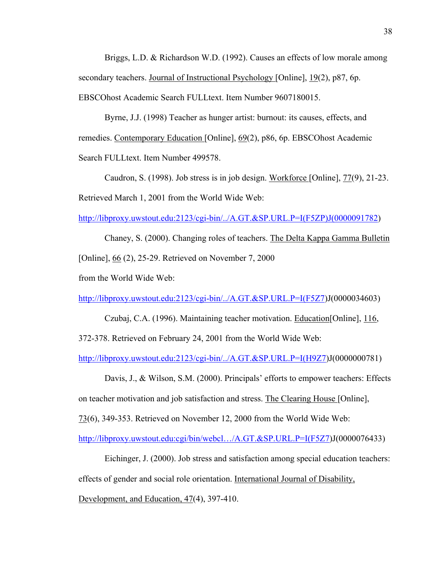Briggs, L.D. & Richardson W.D. (1992). Causes an effects of low morale among secondary teachers. Journal of Instructional Psychology [Online], 19(2), p87, 6p. EBSCOhost Academic Search FULLtext. Item Number 9607180015.

Byrne, J.J. (1998) Teacher as hunger artist: burnout: its causes, effects, and remedies. Contemporary Education [Online], 69(2), p86, 6p. EBSCOhost Academic Search FULLtext. Item Number 499578.

Caudron, S. (1998). Job stress is in job design. Workforce [Online], 77(9), 21-23. Retrieved March 1, 2001 from the World Wide Web:

[http://libproxy.uwstout.edu:2123/cgi-bin/../A.GT.&SP.URL.P=I\(F5ZP\)J\(0000091782](http://libproxy.uwstout.edu:2123/A.GT.&SP.URL.P=I(F5ZP)J(0000091782))

Chaney, S. (2000). Changing roles of teachers. The Delta Kappa Gamma Bulletin [Online], 66 (2), 25-29. Retrieved on November 7, 2000

from the World Wide Web:

[http://libproxy.uwstout.edu:2123/cgi-bin/../A.GT.&SP.URL.P=I\(F5Z7\)](http://libproxy.uwstout.edu:2123/A.GT.&SP.URL.P=I(F5Z7)J(0000034603)

Czubaj, C.A. (1996). Maintaining teacher motivation. Education[Online], 116, 372-378. Retrieved on February 24, 2001 from the World Wide Web:

[http://libproxy.uwstout.edu:2123/cgi-bin/../A.GT.&SP.URL.P=I\(H9Z7\)](http://libproxy.uwstout.edu:2123/A.GT.&SP.URL.P=I(H9Z7)J(0000000781)

Davis, J., & Wilson, S.M. (2000). Principals' efforts to empower teachers: Effects on teacher motivation and job satisfaction and stress. The Clearing House [Online],

73(6), 349-353. Retrieved on November 12, 2000 from the World Wide Web:

[http://libproxy.uwstout.edu:cgi/bin/webcl…/A.GT.&SP.URL.P=I\(F5Z7\)](http://libproxy.uwstout.edu:cgi/bin/webcl�/A.GT.&SP.URL.P=I(H9Z7)J(0000076433)

Eichinger, J. (2000). Job stress and satisfaction among special education teachers: effects of gender and social role orientation. International Journal of Disability,

Development, and Education, 47(4), 397-410.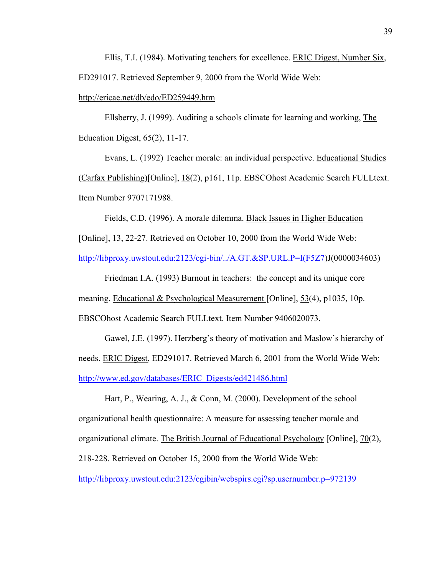Ellis, T.I. (1984). Motivating teachers for excellence. ERIC Digest, Number Six, ED291017. Retrieved September 9, 2000 from the World Wide Web:

http://ericae.net/db/edo/ED259449.htm

Ellsberry, J. (1999). Auditing a schools climate for learning and working, The Education Digest, 65(2), 11-17.

Evans, L. (1992) Teacher morale: an individual perspective. Educational Studies (Carfax Publishing)[Online], 18(2), p161, 11p. EBSCOhost Academic Search FULLtext. Item Number 9707171988.

Fields, C.D. (1996). A morale dilemma. Black Issues in Higher Education

[Online], 13, 22-27. Retrieved on October 10, 2000 from the World Wide Web:

[http://libproxy.uwstout.edu:2123/cgi-bin/../A.GT.&SP.URL.P=I\(F5Z7\)](http://libproxy.uwstout.edu:2123/A.GT.&SP.URL.P=I(F5Z7)J(0000034603)

Friedman I.A. (1993) Burnout in teachers: the concept and its unique core meaning. Educational & Psychological Measurement [Online], 53(4), p1035, 10p. EBSCOhost Academic Search FULLtext. Item Number 9406020073.

Gawel, J.E. (1997). Herzberg's theory of motivation and Maslow's hierarchy of needs. ERIC Digest, ED291017. Retrieved March 6, 2001 from the World Wide Web: [http://www.ed.gov/databases/ERIC\\_Digests/ed421486.html](http://www.ed.gov/databases/ERIC_Digests/ed421486.html)

Hart, P., Wearing, A. J., & Conn, M. (2000). Development of the school organizational health questionnaire: A measure for assessing teacher morale and organizational climate. The British Journal of Educational Psychology [Online], 70(2), 218-228. Retrieved on October 15, 2000 from the World Wide Web:

[http://libproxy.uwstout.edu:2123/cgibin/webspirs.cgi?sp.usernumber.p=972139](http://libproxy.uwstout.edu:2123/cgi-bin/webspirs.cgi?sp.usernumber.p=972139)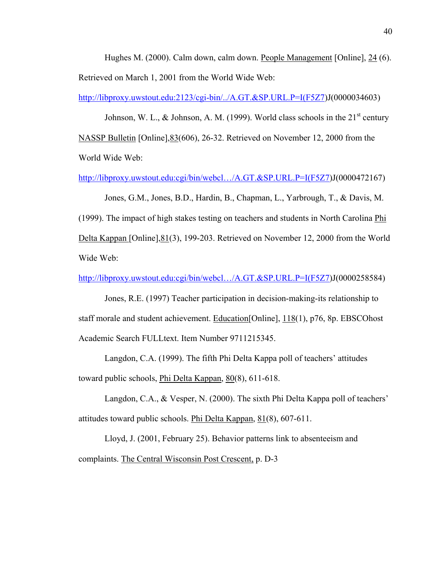Hughes M. (2000). Calm down, calm down. People Management [Online], 24 (6). Retrieved on March 1, 2001 from the World Wide Web:

[http://libproxy.uwstout.edu:2123/cgi-bin/../A.GT.&SP.URL.P=I\(F5Z7\)](http://libproxy.uwstout.edu:2123/A.GT.&SP.URL.P=I(F5Z7)J(0000034603)

Johnson, W. L., & Johnson, A. M. (1999). World class schools in the  $21<sup>st</sup>$  century NASSP Bulletin [Online],83(606), 26-32. Retrieved on November 12, 2000 from the World Wide Web:

[http://libproxy.uwstout.edu:cgi/bin/webcl…/A.GT.&SP.URL.P=I\(F5Z7\)](http://libproxy.uwstout.edu:cgi/bin/webcl�/A.GT.&SP.URL.P=I(H9Z7)J(0000472167)

Jones, G.M., Jones, B.D., Hardin, B., Chapman, L., Yarbrough, T., & Davis, M.

(1999). The impact of high stakes testing on teachers and students in North Carolina Phi Delta Kappan [Online], 81(3), 199-203. Retrieved on November 12, 2000 from the World Wide Web:

[http://libproxy.uwstout.edu:cgi/bin/webcl…/A.GT.&SP.URL.P=I\(F5Z7\)](http://libproxy.uwstout.edu:cgi/bin/webcl�/A.GT.&SP.URL.P=I(H9Z7)J(0000258584)

Jones, R.E. (1997) Teacher participation in decision-making-its relationship to staff morale and student achievement. Education[Online], 118(1), p76, 8p. EBSCOhost Academic Search FULLtext. Item Number 9711215345.

Langdon, C.A. (1999). The fifth Phi Delta Kappa poll of teachers' attitudes toward public schools, Phi Delta Kappan, 80(8), 611-618.

Langdon, C.A., & Vesper, N. (2000). The sixth Phi Delta Kappa poll of teachers' attitudes toward public schools. Phi Delta Kappan, 81(8), 607-611.

Lloyd, J. (2001, February 25). Behavior patterns link to absenteeism and complaints. The Central Wisconsin Post Crescent, p. D-3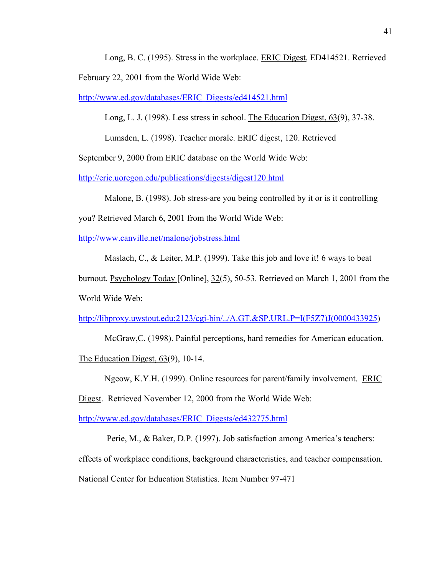Long, B. C. (1995). Stress in the workplace. ERIC Digest, ED414521. Retrieved February 22, 2001 from the World Wide Web:

[http://www.ed.gov/databases/ERIC\\_Digests/ed414521.html](http://www.ed.gov/databases/ERIC_Digests/ed414521.html)

Long, L. J. (1998). Less stress in school. The Education Digest, 63(9), 37-38.

Lumsden, L. (1998). Teacher morale. ERIC digest, 120. Retrieved

September 9, 2000 from ERIC database on the World Wide Web:

<http://eric.uoregon.edu/publications/digests/digest120.html>

Malone, B. (1998). Job stress-are you being controlled by it or is it controlling

you? Retrieved March 6, 2001 from the World Wide Web:

<http://www.canville.net/malone/jobstress.html>

Maslach, C., & Leiter, M.P. (1999). Take this job and love it! 6 ways to beat

burnout. Psychology Today [Online], 32(5), 50-53. Retrieved on March 1, 2001 from the World Wide Web:

[http://libproxy.uwstout.edu:2123/cgi-bin/../A.GT.&SP.URL.P=I\(F5Z7\)J\(0000433925](http://libproxy.uwstout.edu:2123/A.GT.&SP.URL.P=I(F5Z7)J(0000433925))

McGraw,C. (1998). Painful perceptions, hard remedies for American education.

The Education Digest, 63(9), 10-14.

Ngeow, K.Y.H. (1999). Online resources for parent/family involvement. ERIC

Digest. Retrieved November 12, 2000 from the World Wide Web:

[http://www.ed.gov/databases/ERIC\\_Digests/ed432775.html](http://www.ed.gov/databases/ERIC_Digests/ed432775.html)

 Perie, M., & Baker, D.P. (1997). Job satisfaction among America's teachers: effects of workplace conditions, background characteristics, and teacher compensation. National Center for Education Statistics. Item Number 97-471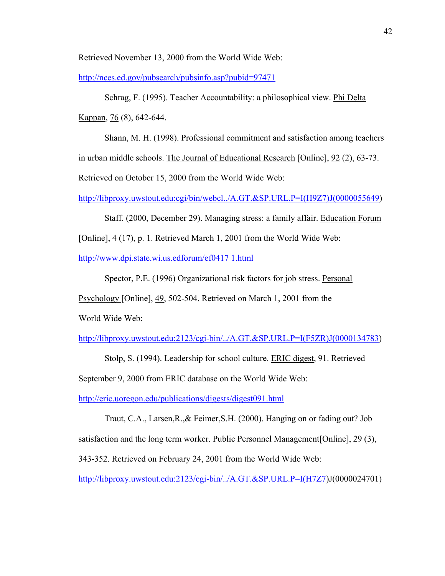Retrieved November 13, 2000 from the World Wide Web:

<http://nces.ed.gov/pubsearch/pubsinfo.asp?pubid=97471>

 Schrag, F. (1995). Teacher Accountability: a philosophical view. Phi Delta Kappan, 76 (8), 642-644.

Shann, M. H. (1998). Professional commitment and satisfaction among teachers in urban middle schools. The Journal of Educational Research [Online], 92 (2), 63-73. Retrieved on October 15, 2000 from the World Wide Web:

[http://libproxy.uwstout.edu:cgi/bin/webcl../A.GT.&SP.URL.P=I\(H9Z7\)J\(0000055649](http://libproxy.uwstout.edu:cgi/bin/webcl../A.GT.&SP.URL.P=I(H9Z7)J(0000055649))

Staff. (2000, December 29). Managing stress: a family affair. Education Forum

[Online], 4 (17), p. 1. Retrieved March 1, 2001 from the World Wide Web:

<http://www.dpi.state.wi.us.edforum/ef0417 1.html>

Spector, P.E. (1996) Organizational risk factors for job stress. Personal

Psychology [Online], 49, 502-504. Retrieved on March 1, 2001 from the

World Wide Web:

[http://libproxy.uwstout.edu:2123/cgi-bin/../A.GT.&SP.URL.P=I\(F5ZR\)J\(0000134783](http://libproxy.uwstout.edu:2123/A.GT.&SP.URL.P=I(F5ZR)J(0000134783))

Stolp, S. (1994). Leadership for school culture. ERIC digest, 91. Retrieved

September 9, 2000 from ERIC database on the World Wide Web:

<http://eric.uoregon.edu/publications/digests/digest091.html>

Traut, C.A., Larsen,R.,& Feimer,S.H. (2000). Hanging on or fading out? Job

satisfaction and the long term worker. Public Personnel Management[Online], 29 (3),

343-352. Retrieved on February 24, 2001 from the World Wide Web:

[http://libproxy.uwstout.edu:2123/cgi-bin/../A.GT.&SP.URL.P=I\(H7Z7\)](http://libproxy.uwstout.edu:2123/A.GT.&SP.URL.P=I(H7Z7)J(0000024701)